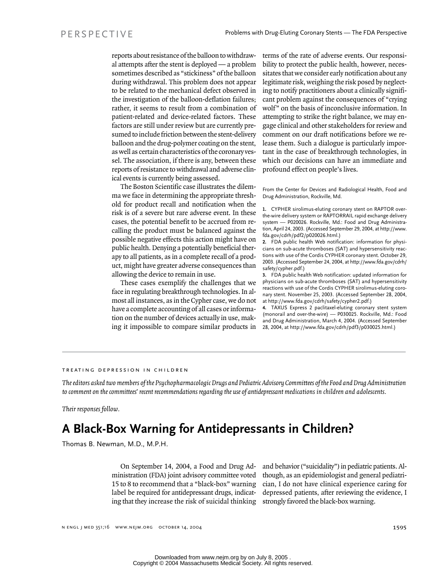reports about resistance of the balloon to withdrawal attempts after the stent is deployed — a problem sometimes described as "stickiness" of the balloon during withdrawal. This problem does not appear to be related to the mechanical defect observed in the investigation of the balloon-deflation failures; rather, it seems to result from a combination of patient-related and device-related factors. These factors are still under review but are currently presumed to include friction between the stent-delivery balloon and the drug-polymer coating on the stent, as well as certain characteristics of the coronary vessel. The association, if there is any, between these reports of resistance to withdrawal and adverse clinical events is currently being assessed.

The Boston Scientific case illustrates the dilemma we face in determining the appropriate threshold for product recall and notification when the risk is of a severe but rare adverse event. In these cases, the potential benefit to be accrued from recalling the product must be balanced against the possible negative effects this action might have on public health. Denying a potentially beneficial therapy to all patients, as in a complete recall of a product, might have greater adverse consequences than allowing the device to remain in use.

These cases exemplify the challenges that we face in regulating breakthrough technologies. In almost all instances, as in the Cypher case, we do not have a complete accounting of all cases or information on the number of devices actually in use, making it impossible to compare similar products in

terms of the rate of adverse events. Our responsibility to protect the public health, however, necessitates that we consider early notification about any legitimate risk, weighing the risk posed by neglecting to notify practitioners about a clinically significant problem against the consequences of "crying wolf" on the basis of inconclusive information. In attempting to strike the right balance, we may engage clinical and other stakeholders for review and comment on our draft notifications before we release them. Such a dialogue is particularly important in the case of breakthrough technologies, in which our decisions can have an immediate and profound effect on people's lives.

From the Center for Devices and Radiological Health, Food and Drug Administration, Rockville, Md.

**1.** CYPHER sirolimus-eluting coronary stent on RAPTOR overthe-wire delivery system or RAPTORRAIL rapid exchange delivery system — P020026. Rockville, Md.: Food and Drug Administration, April 24, 2003. (Accessed September 29, 2004, at http://www. fda.gov/cdrh/pdf2/p020026.html.)

**2.** FDA public health Web notification: information for physicians on sub-acute thromboses (SAT) and hypersensitivity reactions with use of the Cordis CYPHER coronary stent. October 29, 2003. (Accessed September 24, 2004, at http://www.fda.gov/cdrh/ safety/cypher.pdf.)

**3.** FDA public health Web notification: updated information for physicians on sub-acute thromboses (SAT) and hypersensitivity reactions with use of the Cordis CYPHER sirolimus-eluting coronary stent. November 25, 2003. (Accessed September 28, 2004, at http://www.fda.gov/cdrh/safety/cypher2.pdf.)

**4.** TAXUS Express 2 paclitaxel-eluting coronary stent system (monorail and over-the-wire) — P030025. Rockville, Md.: Food and Drug Administration, March 4, 2004. (Accessed September 28, 2004, at http://www.fda.gov/cdrh/pdf3/p030025.html.)

## treating depression in children

*The editors asked two members of the Psychopharmacologic Drugs and Pediatric Advisory Committees of the Food and Drug Administration to comment on the committees' recent recommendations regarding the use of antidepressant medications in children and adolescents.* 

*Their responses follow.*

## **A Black-Box Warning for Antidepressants in Children?**

Thomas B. Newman, M.D., M.P.H.

On September 14, 2004, a Food and Drug Administration (FDA) joint advisory committee voted 15 to 8 to recommend that a "black-box" warning label be required for antidepressant drugs, indicating that they increase the risk of suicidal thinking

and behavior ("suicidality") in pediatric patients. Although, as an epidemiologist and general pediatrician, I do not have clinical experience caring for depressed patients, after reviewing the evidence, I strongly favored the black-box warning.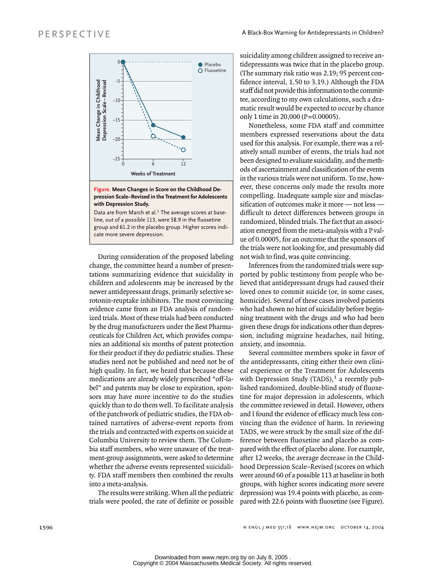

**Figure. Mean Changes in Score on the Childhood Depression Scale–Revised in the Treatment for Adolescents with Depression Study.**

Data are from March et al.<sup>1</sup> The average scores at baseline, out of a possible 113, were 58.9 in the fluoxetine group and 61.2 in the placebo group. Higher scores indi-

During consideration of the proposed labeling change, the committee heard a number of presentations summarizing evidence that suicidality in children and adolescents may be increased by the newer antidepressant drugs, primarily selective serotonin-reuptake inhibitors. The most convincing evidence came from an FDA analysis of randomized trials. Most of these trials had been conducted by the drug manufacturers under the Best Pharmaceuticals for Children Act, which provides companies an additional six months of patent protection for their product if they do pediatric studies. These studies need not be published and need not be of high quality. In fact, we heard that because these medications are already widely prescribed "off-label" and patents may be close to expiration, sponsors may have more incentive to do the studies quickly than to do them well. To facilitate analysis of the patchwork of pediatric studies, the FDA obtained narratives of adverse-event reports from the trials and contracted with experts on suicide at Columbia University to review them. The Columbia staff members, who were unaware of the treatment-group assignments, were asked to determine whether the adverse events represented suicidality. FDA staff members then combined the results into a meta-analysis.

The results were striking. When all the pediatric trials were pooled, the rate of definite or possible

suicidality among children assigned to receive antidepressants was twice that in the placebo group. (The summary risk ratio was 2.19; 95 percent confidence interval, 1.50 to 3.19.) Although the FDA staff did not provide this information to the committee, according to my own calculations, such a dramatic result would be expected to occur by chance only 1 time in 20,000 (P=0.00005).

Nonetheless, some FDA staff and committee members expressed reservations about the data used for this analysis. For example, there was a relatively small number of events, the trials had not been designed to evaluate suicidality, and the methods of ascertainment and classification of the events in the various trials were not uniform. To me, however, these concerns only made the results more compelling. Inadequate sample size and misclassification of outcomes make it more — not less difficult to detect differences between groups in randomized, blinded trials. The fact that an association emerged from the meta-analysis with a P value of 0.00005, for an outcome that the sponsors of the trials were not looking for, and presumably did not wish to find, was quite convincing.

Inferences from the randomized trials were supported by public testimony from people who believed that antidepressant drugs had caused their loved ones to commit suicide (or, in some cases, homicide). Several of these cases involved patients who had shown no hint of suicidality before beginning treatment with the drugs and who had been given these drugs for indications other than depression, including migraine headaches, nail biting, anxiety, and insomnia.

Several committee members spoke in favor of the antidepressants, citing either their own clinical experience or the Treatment for Adolescents with Depression Study (TADS), $<sup>1</sup>$  a recently pub-</sup> lished randomized, double-blind study of fluoxetine for major depression in adolescents, which the committee reviewed in detail. However, others and I found the evidence of efficacy much less convincing than the evidence of harm. In reviewing TADS, we were struck by the small size of the difference between fluoxetine and placebo as compared with the effect of placebo alone. For example, after 12 weeks, the average decrease in the Childhood Depression Scale–Revised (scores on which were around 60 of a possible 113 at baseline in both groups, with higher scores indicating more severe depression) was 19.4 points with placebo, as compared with 22.6 points with fluoxetine (see Figure).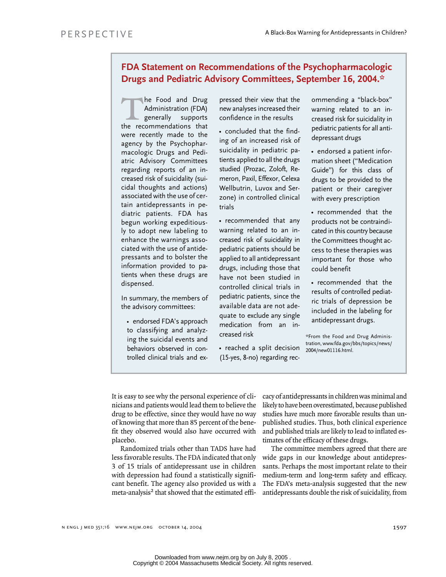## **FDA Statement on Recommendations of the Psychopharmacologic Drugs and Pediatric Advisory Committees, September 16, 2004.\***<br>
he Food and Drug pressed their view that the ommending a "black-bo<br>
Administration (FDA) new analyses increased their warning related to an<br>
generally suppor

he Food and Drug Administration (FDA) generally supports the recommendations that were recently made to the agency by the Psychopharmacologic Drugs and Pediatric Advisory Committees regarding reports of an increased risk of suicidality (suicidal thoughts and actions) associated with the use of certain antidepressants in pediatric patients. FDA has begun working expeditiously to adopt new labeling to enhance the warnings associated with the use of antidepressants and to bolster the information provided to patients when these drugs are dispensed.

In summary, the members of the advisory committees:

• endorsed FDA's approach to classifying and analyzing the suicidal events and behaviors observed in controlled clinical trials and ex-

pressed their view that the new analyses increased their confidence in the results

• concluded that the finding of an increased risk of suicidality in pediatric patients applied to all the drugs studied (Prozac, Zoloft, Remeron, Paxil, Effexor, Celexa Wellbutrin, Luvox and Serzone) in controlled clinical trials

• recommended that any warning related to an increased risk of suicidality in pediatric patients should be applied to all antidepressant drugs, including those that have not been studied in controlled clinical trials in pediatric patients, since the available data are not adequate to exclude any single medication from an increased risk

• reached a split decision (15-yes, 8-no) regarding recommending a "black-box" warning related to an increased risk for suicidality in pediatric patients for all antidepressant drugs

• endorsed a patient information sheet ("Medication Guide") for this class of drugs to be provided to the patient or their caregiver with every prescription

• recommended that the products not be contraindicated in this country because the Committees thought access to these therapies was important for those who could benefit

• recommended that the results of controlled pediatric trials of depression be included in the labeling for antidepressant drugs.

\*From the Food and Drug Administration, www.fda.gov/bbs/topics/news/ 2004/new01116.html.

It is easy to see why the personal experience of clinicians and patients would lead them to believe the drug to be effective, since they would have no way of knowing that more than 85 percent of the benefit they observed would also have occurred with placebo.

Randomized trials other than TADS have had less favorable results. The FDA indicated that only 3 of 15 trials of antidepressant use in children with depression had found a statistically significant benefit. The agency also provided us with a meta-analysis<sup>2</sup> that showed that the estimated effi-

cacy of antidepressants in children was minimal and likely to have been overestimated, because published studies have much more favorable results than unpublished studies. Thus, both clinical experience and published trials are likely to lead to inflated estimates of the efficacy of these drugs.

The committee members agreed that there are wide gaps in our knowledge about antidepressants. Perhaps the most important relate to their medium-term and long-term safety and efficacy. The FDA's meta-analysis suggested that the new antidepressants double the risk of suicidality, from